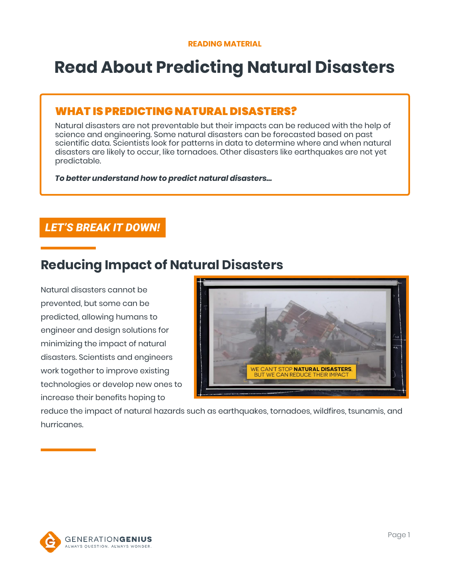# **Read About Predicting Natural Disasters**

### WHAT IS PREDICTING NATURAL DISASTERS?

Natural disasters are not preventable but their impacts can be reduced with the help of science and engineering. Some natural disasters can be forecasted based on past scientific data. Scientists look for patterns in data to determine where and when natural disasters are likely to occur, like tornadoes. Other disasters like earthquakes are not yet predictable.

*To better understand how to predict natural disasters…*

### *LET'S BREAK IT DOWN!*

## **Reducing Impact of Natural Disasters**

Natural disasters cannot be prevented, but some can be predicted, allowing humans to engineer and design solutions for minimizing the impact of natural disasters. Scientists and engineers work together to improve existing technologies or develop new ones to increase their benefits hoping to



reduce the impact of natural hazards such as earthquakes, tornadoes, wildfires, tsunamis, and hurricanes.

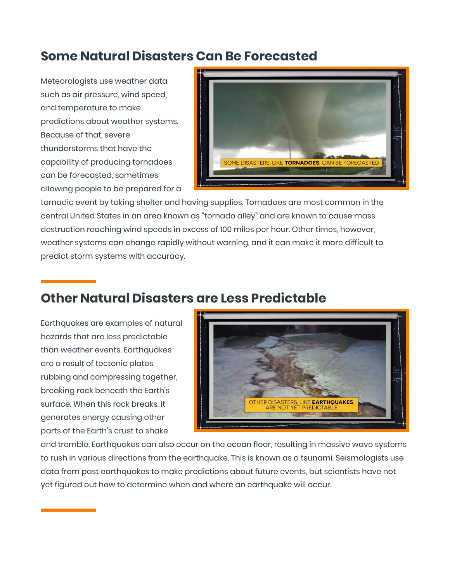## **Some Natural Disasters Can Be Forecasted**

Meteorologists use weather data such as air pressure, wind speed, and temperature to make predictions about weather systems. Because of that, severe thunderstorms that have the capability of producing tornadoes can be forecasted, sometimes allowing people to be prepared for a



tornadic event by taking shelter and having supplies. Tornadoes are most common in the central United States in an area known as "tornado alley" and are known to cause mass destruction reaching wind speeds in excess of 100 miles per hour. Other times, however, weather systems can change rapidly without warning, and it can make it more difficult to predict storm systems with accuracy.

## **Other Natural Disasters are Less Predictable**

Earthquakes are examples of natural hazards that are less predictable than weather events. Earthquakes are a result of tectonic plates rubbing and compressing together, breaking rock beneath the Earth's surface. When this rock breaks, it generates energy causing other parts of the Earth's crust to shake



and tremble. Earthquakes can also occur on the ocean floor, resulting in massive wave systems to rush in various directions from the earthquake. This is known as a tsunami. Seismologists use data from past earthquakes to make predictions about future events, but scientists have not yet figured out how to determine when and where an earthquake will occur.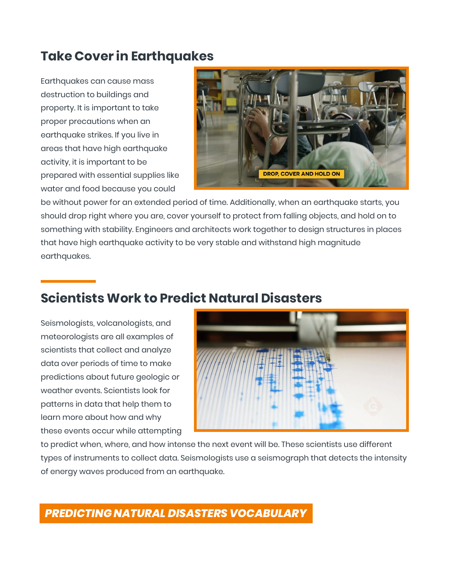## **Take Cover in Earthquakes**

Earthquakes can cause mass destruction to buildings and property. It is important to take proper precautions when an earthquake strikes. If you live in areas that have high earthquake activity, it is important to be prepared with essential supplies like water and food because you could



be without power for an extended period of time. Additionally, when an earthquake starts, you should drop right where you are, cover yourself to protect from falling objects, and hold on to something with stability. Engineers and architects work together to design structures in places that have high earthquake activity to be very stable and withstand high magnitude earthquakes.

## **Scientists Work to Predict Natural Disasters**

Seismologists, volcanologists, and meteorologists are all examples of scientists that collect and analyze data over periods of time to make predictions about future geologic or weather events. Scientists look for patterns in data that help them to learn more about how and why these events occur while attempting



to predict when, where, and how intense the next event will be. These scientists use different types of instruments to collect data. Seismologists use a seismograph that detects the intensity of energy waves produced from an earthquake.

## *PREDICTING NATURAL DISASTERS VOCABULARY*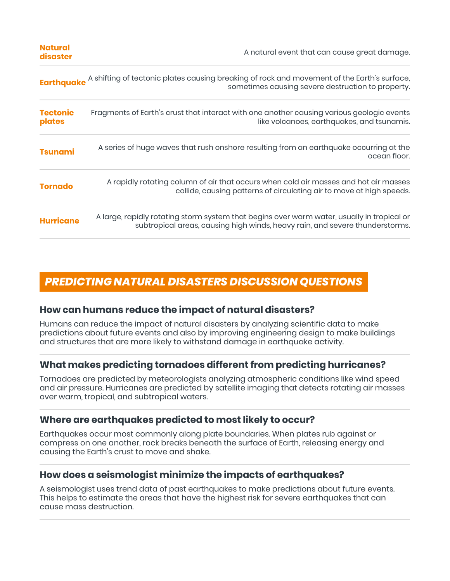| <b>Natural</b><br>disaster | A natural event that can cause great damage.                                                                                                                               |
|----------------------------|----------------------------------------------------------------------------------------------------------------------------------------------------------------------------|
|                            | <b>Earthquake</b> A shifting of tectonic plates causing breaking of rock and movement of the Earth's surface,<br>sometimes causing severe destruction to property.         |
| <b>Tectonic</b><br>plates  | Fragments of Earth's crust that interact with one another causing various geologic events<br>like volcanoes, earthquakes, and tsunamis.                                    |
| <b>Tsunami</b>             | A series of huge waves that rush onshore resulting from an earthquake occurring at the<br>ocean floor.                                                                     |
| <b>Tornado</b>             | A rapidly rotating column of air that occurs when cold air masses and hot air masses<br>collide, causing patterns of circulating air to move at high speeds.               |
| <b>Hurricane</b>           | A large, rapidly rotating storm system that begins over warm water, usually in tropical or<br>subtropical areas, causing high winds, heavy rain, and severe thunderstorms. |

## *PREDICTING NATURAL DISASTERS DISCUSSION QUESTIONS*

#### **How can humans reduce the impact of natural disasters?**

Humans can reduce the impact of natural disasters by analyzing scientific data to make predictions about future events and also by improving engineering design to make buildings and structures that are more likely to withstand damage in earthquake activity.

### **What makes predicting tornadoes different from predicting hurricanes?**

Tornadoes are predicted by meteorologists analyzing atmospheric conditions like wind speed and air pressure. Hurricanes are predicted by satellite imaging that detects rotating air masses over warm, tropical, and subtropical waters.

#### **Where are earthquakes predicted to most likely to occur?**

Earthquakes occur most commonly along plate boundaries. When plates rub against or compress on one another, rock breaks beneath the surface of Earth, releasing energy and causing the Earth's crust to move and shake.

#### **How does a seismologist minimize the impacts of earthquakes?**

A seismologist uses trend data of past earthquakes to make predictions about future events. This helps to estimate the areas that have the highest risk for severe earthquakes that can cause mass destruction.